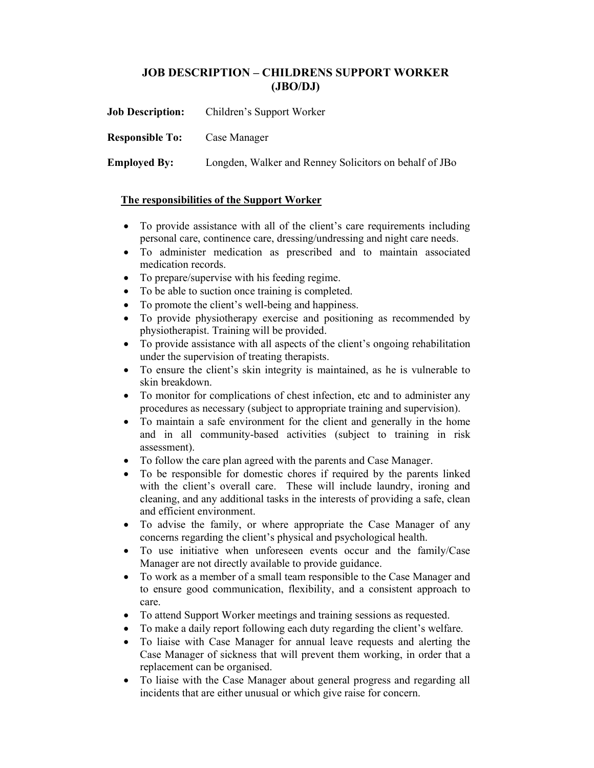## JOB DESCRIPTION – CHILDRENS SUPPORT WORKER (JBO/DJ)

| <b>Job Description:</b> | Children's Support Worker                              |
|-------------------------|--------------------------------------------------------|
| <b>Responsible To:</b>  | Case Manager                                           |
| <b>Employed By:</b>     | Longden, Walker and Renney Solicitors on behalf of JBo |

## The responsibilities of the Support Worker

- To provide assistance with all of the client's care requirements including personal care, continence care, dressing/undressing and night care needs.
- To administer medication as prescribed and to maintain associated medication records.
- To prepare/supervise with his feeding regime.
- To be able to suction once training is completed.
- To promote the client's well-being and happiness.
- To provide physiotherapy exercise and positioning as recommended by physiotherapist. Training will be provided.
- To provide assistance with all aspects of the client's ongoing rehabilitation under the supervision of treating therapists.
- To ensure the client's skin integrity is maintained, as he is vulnerable to skin breakdown.
- To monitor for complications of chest infection, etc and to administer any procedures as necessary (subject to appropriate training and supervision).
- To maintain a safe environment for the client and generally in the home and in all community-based activities (subject to training in risk assessment).
- To follow the care plan agreed with the parents and Case Manager.
- To be responsible for domestic chores if required by the parents linked with the client's overall care. These will include laundry, ironing and cleaning, and any additional tasks in the interests of providing a safe, clean and efficient environment.
- To advise the family, or where appropriate the Case Manager of any concerns regarding the client's physical and psychological health.
- To use initiative when unforeseen events occur and the family/Case Manager are not directly available to provide guidance.
- To work as a member of a small team responsible to the Case Manager and to ensure good communication, flexibility, and a consistent approach to care.
- To attend Support Worker meetings and training sessions as requested.
- To make a daily report following each duty regarding the client's welfare.
- To liaise with Case Manager for annual leave requests and alerting the Case Manager of sickness that will prevent them working, in order that a replacement can be organised.
- To liaise with the Case Manager about general progress and regarding all incidents that are either unusual or which give raise for concern.